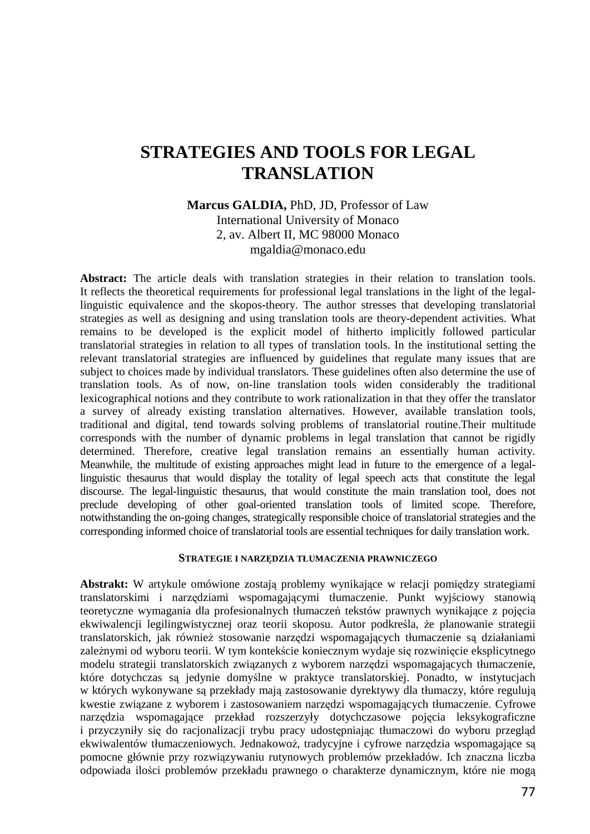# **STRATEGIES AND TOOLS FOR LEGAL TRANSLATION**

## **Marcus GALDIA,** PhD, JD, Professor of Law International University of Monaco 2, av. Albert II, MC 98000 Monaco mgaldia@monaco.edu

**Abstract:** The article deals with translation strategies in their relation to translation tools. It reflects the theoretical requirements for professional legal translations in the light of the legallinguistic equivalence and the skopos-theory. The author stresses that developing translatorial strategies as well as designing and using translation tools are theory-dependent activities. What remains to be developed is the explicit model of hitherto implicitly followed particular translatorial strategies in relation to all types of translation tools. In the institutional setting the relevant translatorial strategies are influenced by guidelines that regulate many issues that are subject to choices made by individual translators. These guidelines often also determine the use of translation tools. As of now, on-line translation tools widen considerably the traditional lexicographical notions and they contribute to work rationalization in that they offer the translator a survey of already existing translation alternatives. However, available translation tools, traditional and digital, tend towards solving problems of translatorial routine.Their multitude corresponds with the number of dynamic problems in legal translation that cannot be rigidly determined. Therefore, creative legal translation remains an essentially human activity. Meanwhile, the multitude of existing approaches might lead in future to the emergence of a legallinguistic thesaurus that would display the totality of legal speech acts that constitute the legal discourse. The legal-linguistic thesaurus, that would constitute the main translation tool, does not preclude developing of other goal-oriented translation tools of limited scope. Therefore, notwithstanding the on-going changes, strategically responsible choice of translatorial strategies and the corresponding informed choice of translatorial tools are essential techniques for daily translation work.

#### **STRATEGIE I NARZĘDZIA TŁUMACZENIA PRAWNICZEGO**

**Abstrakt:** W artykule omówione zostają problemy wynikające w relacji pomiędzy strategiami translatorskimi i narzędziami wspomagającymi tłumaczenie. Punkt wyjściowy stanowią teoretyczne wymagania dla profesionalnych tłumaczeń tekstów prawnych wynikające z pojęcia ekwiwalencji legilingwistycznej oraz teorii skoposu. Autor podkreśla, że planowanie strategii translatorskich, jak również stosowanie narzędzi wspomagających tłumaczenie są działaniami zależnymi od wyboru teorii. W tym kontekście koniecznym wydaje się rozwinięcie eksplicytnego modelu strategii translatorskich związanych z wyborem narzędzi wspomagających tłumaczenie, które dotychczas są jedynie domyślne w praktyce translatorskiej. Ponadto, w instytucjach w których wykonywane są przekłady mają zastosowanie dyrektywy dla tłumaczy, które regulują kwestie związane z wyborem i zastosowaniem narzędzi wspomagających tłumaczenie. Cyfrowe narzędzia wspomagające przekład rozszerzyły dotychczasowe pojęcia leksykograficzne i przyczyniły się do racjonalizacji trybu pracy udostępniając tłumaczowi do wyboru przegląd ekwiwalentów tłumaczeniowych. Jednakowoż, tradycyjne i cyfrowe narzędzia wspomagające są pomocne głównie przy rozwiązywaniu rutynowych problemów przekładów. Ich znaczna liczba odpowiada ilości problemów przekładu prawnego o charakterze dynamicznym, które nie mogą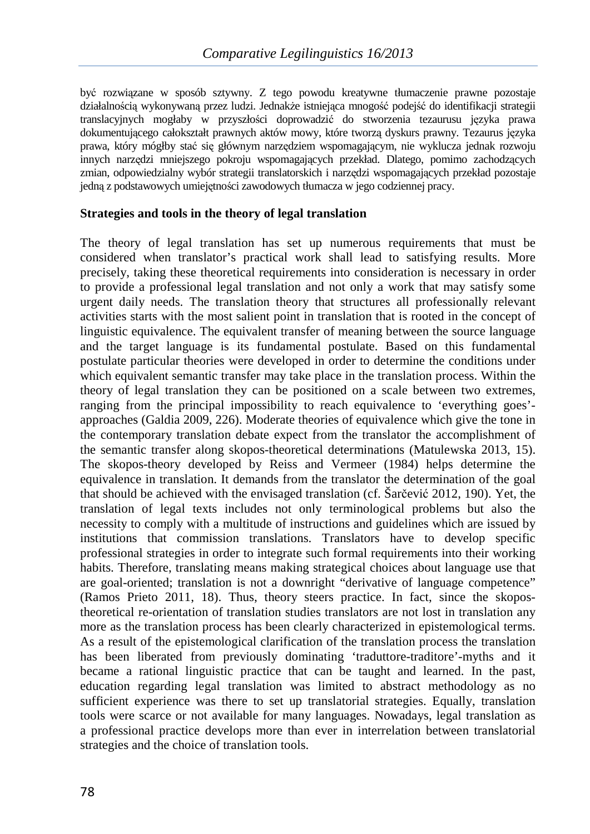być rozwiązane w sposób sztywny. Z tego powodu kreatywne tłumaczenie prawne pozostaje działalnością wykonywaną przez ludzi. Jednakże istniejąca mnogość podejść do identifikacji strategii translacyjnych mogłaby w przyszłości doprowadzić do stworzenia tezaurusu języka prawa dokumentującego całokształt prawnych aktów mowy, które tworzą dyskurs prawny. Tezaurus języka prawa, który mógłby stać się głównym narzędziem wspomagającym, nie wyklucza jednak rozwoju innych narzędzi mniejszego pokroju wspomagających przekład. Dlatego, pomimo zachodzących zmian, odpowiedzialny wybór strategii translatorskich i narzędzi wspomagających przekład pozostaje jedną z podstawowych umiejętności zawodowych tłumacza w jego codziennej pracy.

## **Strategies and tools in the theory of legal translation**

The theory of legal translation has set up numerous requirements that must be considered when translator's practical work shall lead to satisfying results. More precisely, taking these theoretical requirements into consideration is necessary in order to provide a professional legal translation and not only a work that may satisfy some urgent daily needs. The translation theory that structures all professionally relevant activities starts with the most salient point in translation that is rooted in the concept of linguistic equivalence. The equivalent transfer of meaning between the source language and the target language is its fundamental postulate. Based on this fundamental postulate particular theories were developed in order to determine the conditions under which equivalent semantic transfer may take place in the translation process. Within the theory of legal translation they can be positioned on a scale between two extremes, ranging from the principal impossibility to reach equivalence to 'everything goes' approaches (Galdia 2009, 226). Moderate theories of equivalence which give the tone in the contemporary translation debate expect from the translator the accomplishment of the semantic transfer along skopos-theoretical determinations (Matulewska 2013, 15). The skopos-theory developed by Reiss and Vermeer (1984) helps determine the equivalence in translation. It demands from the translator the determination of the goal that should be achieved with the envisaged translation (cf. Šarčević 2012, 190). Yet, the translation of legal texts includes not only terminological problems but also the necessity to comply with a multitude of instructions and guidelines which are issued by institutions that commission translations. Translators have to develop specific professional strategies in order to integrate such formal requirements into their working habits. Therefore, translating means making strategical choices about language use that are goal-oriented; translation is not a downright "derivative of language competence" (Ramos Prieto 2011, 18). Thus, theory steers practice. In fact, since the skopostheoretical re-orientation of translation studies translators are not lost in translation any more as the translation process has been clearly characterized in epistemological terms. As a result of the epistemological clarification of the translation process the translation has been liberated from previously dominating 'traduttore-traditore'-myths and it became a rational linguistic practice that can be taught and learned. In the past, education regarding legal translation was limited to abstract methodology as no sufficient experience was there to set up translatorial strategies. Equally, translation tools were scarce or not available for many languages. Nowadays, legal translation as a professional practice develops more than ever in interrelation between translatorial strategies and the choice of translation tools.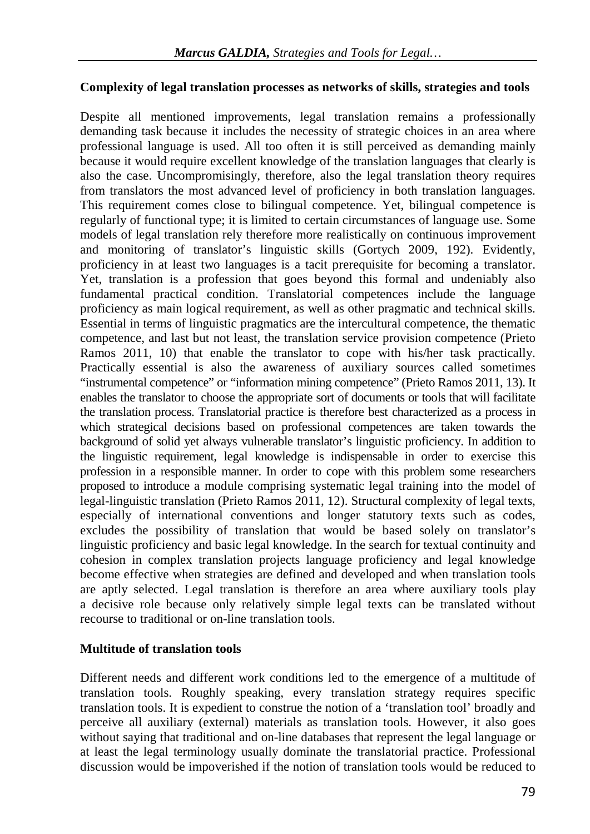## **Complexity of legal translation processes as networks of skills, strategies and tools**

Despite all mentioned improvements, legal translation remains a professionally demanding task because it includes the necessity of strategic choices in an area where professional language is used. All too often it is still perceived as demanding mainly because it would require excellent knowledge of the translation languages that clearly is also the case. Uncompromisingly, therefore, also the legal translation theory requires from translators the most advanced level of proficiency in both translation languages. This requirement comes close to bilingual competence. Yet, bilingual competence is regularly of functional type; it is limited to certain circumstances of language use. Some models of legal translation rely therefore more realistically on continuous improvement and monitoring of translator's linguistic skills (Gortych 2009, 192). Evidently, proficiency in at least two languages is a tacit prerequisite for becoming a translator. Yet, translation is a profession that goes beyond this formal and undeniably also fundamental practical condition. Translatorial competences include the language proficiency as main logical requirement, as well as other pragmatic and technical skills. Essential in terms of linguistic pragmatics are the intercultural competence, the thematic competence, and last but not least, the translation service provision competence (Prieto Ramos 2011, 10) that enable the translator to cope with his/her task practically. Practically essential is also the awareness of auxiliary sources called sometimes "instrumental competence" or "information mining competence" (Prieto Ramos 2011, 13). It enables the translator to choose the appropriate sort of documents or tools that will facilitate the translation process. Translatorial practice is therefore best characterized as a process in which strategical decisions based on professional competences are taken towards the background of solid yet always vulnerable translator's linguistic proficiency. In addition to the linguistic requirement, legal knowledge is indispensable in order to exercise this profession in a responsible manner. In order to cope with this problem some researchers proposed to introduce a module comprising systematic legal training into the model of legal-linguistic translation (Prieto Ramos 2011, 12). Structural complexity of legal texts, especially of international conventions and longer statutory texts such as codes, excludes the possibility of translation that would be based solely on translator's linguistic proficiency and basic legal knowledge. In the search for textual continuity and cohesion in complex translation projects language proficiency and legal knowledge become effective when strategies are defined and developed and when translation tools are aptly selected. Legal translation is therefore an area where auxiliary tools play a decisive role because only relatively simple legal texts can be translated without recourse to traditional or on-line translation tools.

## **Multitude of translation tools**

Different needs and different work conditions led to the emergence of a multitude of translation tools. Roughly speaking, every translation strategy requires specific translation tools. It is expedient to construe the notion of a 'translation tool' broadly and perceive all auxiliary (external) materials as translation tools. However, it also goes without saying that traditional and on-line databases that represent the legal language or at least the legal terminology usually dominate the translatorial practice. Professional discussion would be impoverished if the notion of translation tools would be reduced to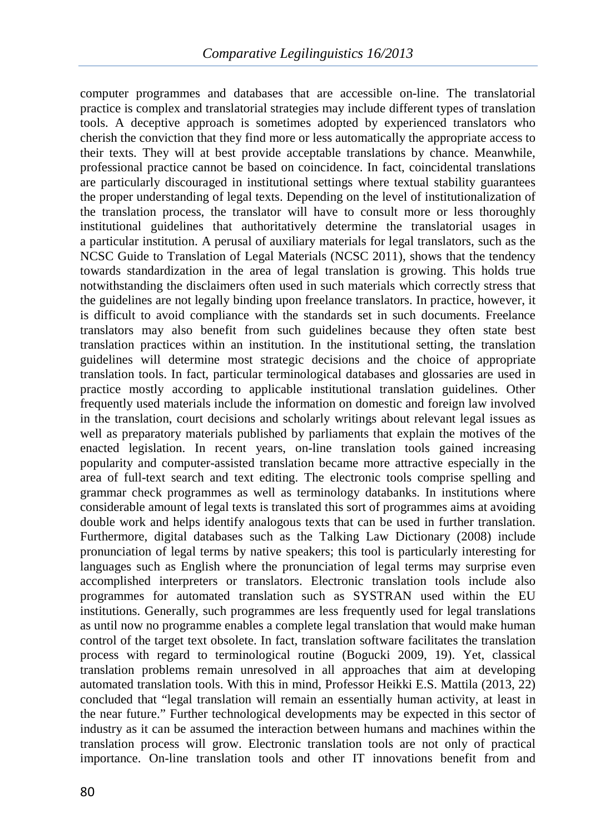computer programmes and databases that are accessible on-line. The translatorial practice is complex and translatorial strategies may include different types of translation tools. A deceptive approach is sometimes adopted by experienced translators who cherish the conviction that they find more or less automatically the appropriate access to their texts. They will at best provide acceptable translations by chance. Meanwhile, professional practice cannot be based on coincidence. In fact, coincidental translations are particularly discouraged in institutional settings where textual stability guarantees the proper understanding of legal texts. Depending on the level of institutionalization of the translation process, the translator will have to consult more or less thoroughly institutional guidelines that authoritatively determine the translatorial usages in a particular institution. A perusal of auxiliary materials for legal translators, such as the NCSC Guide to Translation of Legal Materials (NCSC 2011), shows that the tendency towards standardization in the area of legal translation is growing. This holds true notwithstanding the disclaimers often used in such materials which correctly stress that the guidelines are not legally binding upon freelance translators. In practice, however, it is difficult to avoid compliance with the standards set in such documents. Freelance translators may also benefit from such guidelines because they often state best translation practices within an institution. In the institutional setting, the translation guidelines will determine most strategic decisions and the choice of appropriate translation tools. In fact, particular terminological databases and glossaries are used in practice mostly according to applicable institutional translation guidelines. Other frequently used materials include the information on domestic and foreign law involved in the translation, court decisions and scholarly writings about relevant legal issues as well as preparatory materials published by parliaments that explain the motives of the enacted legislation. In recent years, on-line translation tools gained increasing popularity and computer-assisted translation became more attractive especially in the area of full-text search and text editing. The electronic tools comprise spelling and grammar check programmes as well as terminology databanks. In institutions where considerable amount of legal texts is translated this sort of programmes aims at avoiding double work and helps identify analogous texts that can be used in further translation. Furthermore, digital databases such as the Talking Law Dictionary (2008) include pronunciation of legal terms by native speakers; this tool is particularly interesting for languages such as English where the pronunciation of legal terms may surprise even accomplished interpreters or translators. Electronic translation tools include also programmes for automated translation such as SYSTRAN used within the EU institutions. Generally, such programmes are less frequently used for legal translations as until now no programme enables a complete legal translation that would make human control of the target text obsolete. In fact, translation software facilitates the translation process with regard to terminological routine (Bogucki 2009, 19). Yet, classical translation problems remain unresolved in all approaches that aim at developing automated translation tools. With this in mind, Professor Heikki E.S. Mattila (2013, 22) concluded that "legal translation will remain an essentially human activity, at least in the near future." Further technological developments may be expected in this sector of industry as it can be assumed the interaction between humans and machines within the translation process will grow. Electronic translation tools are not only of practical importance. On-line translation tools and other IT innovations benefit from and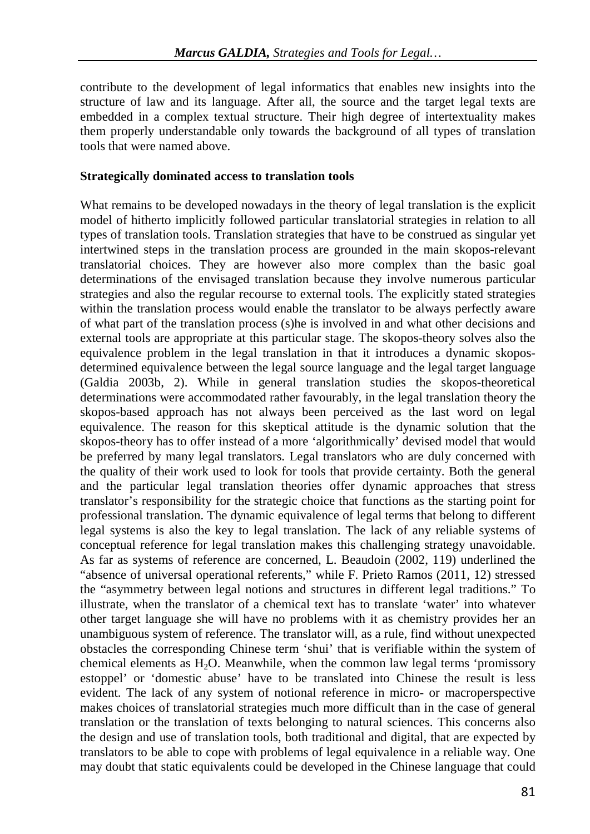contribute to the development of legal informatics that enables new insights into the structure of law and its language. After all, the source and the target legal texts are embedded in a complex textual structure. Their high degree of intertextuality makes them properly understandable only towards the background of all types of translation tools that were named above.

#### **Strategically dominated access to translation tools**

What remains to be developed nowadays in the theory of legal translation is the explicit model of hitherto implicitly followed particular translatorial strategies in relation to all types of translation tools. Translation strategies that have to be construed as singular yet intertwined steps in the translation process are grounded in the main skopos-relevant translatorial choices. They are however also more complex than the basic goal determinations of the envisaged translation because they involve numerous particular strategies and also the regular recourse to external tools. The explicitly stated strategies within the translation process would enable the translator to be always perfectly aware of what part of the translation process (s)he is involved in and what other decisions and external tools are appropriate at this particular stage. The skopos-theory solves also the equivalence problem in the legal translation in that it introduces a dynamic skoposdetermined equivalence between the legal source language and the legal target language (Galdia 2003b, 2). While in general translation studies the skopos-theoretical determinations were accommodated rather favourably, in the legal translation theory the skopos-based approach has not always been perceived as the last word on legal equivalence. The reason for this skeptical attitude is the dynamic solution that the skopos-theory has to offer instead of a more 'algorithmically' devised model that would be preferred by many legal translators. Legal translators who are duly concerned with the quality of their work used to look for tools that provide certainty. Both the general and the particular legal translation theories offer dynamic approaches that stress translator's responsibility for the strategic choice that functions as the starting point for professional translation. The dynamic equivalence of legal terms that belong to different legal systems is also the key to legal translation. The lack of any reliable systems of conceptual reference for legal translation makes this challenging strategy unavoidable. As far as systems of reference are concerned, L. Beaudoin (2002, 119) underlined the "absence of universal operational referents," while F. Prieto Ramos (2011, 12) stressed the "asymmetry between legal notions and structures in different legal traditions." To illustrate, when the translator of a chemical text has to translate 'water' into whatever other target language she will have no problems with it as chemistry provides her an unambiguous system of reference. The translator will, as a rule, find without unexpected obstacles the corresponding Chinese term 'shui' that is verifiable within the system of chemical elements as  $H_2O$ . Meanwhile, when the common law legal terms 'promissory estoppel' or 'domestic abuse' have to be translated into Chinese the result is less evident. The lack of any system of notional reference in micro- or macroperspective makes choices of translatorial strategies much more difficult than in the case of general translation or the translation of texts belonging to natural sciences. This concerns also the design and use of translation tools, both traditional and digital, that are expected by translators to be able to cope with problems of legal equivalence in a reliable way. One may doubt that static equivalents could be developed in the Chinese language that could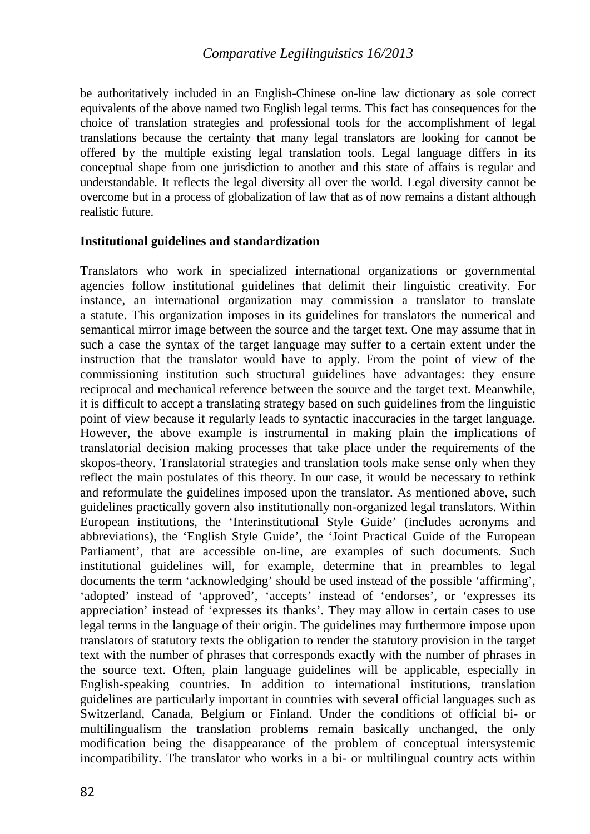be authoritatively included in an English-Chinese on-line law dictionary as sole correct equivalents of the above named two English legal terms. This fact has consequences for the choice of translation strategies and professional tools for the accomplishment of legal translations because the certainty that many legal translators are looking for cannot be offered by the multiple existing legal translation tools. Legal language differs in its conceptual shape from one jurisdiction to another and this state of affairs is regular and understandable. It reflects the legal diversity all over the world. Legal diversity cannot be overcome but in a process of globalization of law that as of now remains a distant although realistic future.

## **Institutional guidelines and standardization**

Translators who work in specialized international organizations or governmental agencies follow institutional guidelines that delimit their linguistic creativity. For instance, an international organization may commission a translator to translate a statute. This organization imposes in its guidelines for translators the numerical and semantical mirror image between the source and the target text. One may assume that in such a case the syntax of the target language may suffer to a certain extent under the instruction that the translator would have to apply. From the point of view of the commissioning institution such structural guidelines have advantages: they ensure reciprocal and mechanical reference between the source and the target text. Meanwhile, it is difficult to accept a translating strategy based on such guidelines from the linguistic point of view because it regularly leads to syntactic inaccuracies in the target language. However, the above example is instrumental in making plain the implications of translatorial decision making processes that take place under the requirements of the skopos-theory. Translatorial strategies and translation tools make sense only when they reflect the main postulates of this theory. In our case, it would be necessary to rethink and reformulate the guidelines imposed upon the translator. As mentioned above, such guidelines practically govern also institutionally non-organized legal translators. Within European institutions, the 'Interinstitutional Style Guide' (includes acronyms and abbreviations), the 'English Style Guide', the 'Joint Practical Guide of the European Parliament', that are accessible on-line, are examples of such documents. Such institutional guidelines will, for example, determine that in preambles to legal documents the term 'acknowledging' should be used instead of the possible 'affirming', 'adopted' instead of 'approved', 'accepts' instead of 'endorses', or 'expresses its appreciation' instead of 'expresses its thanks'. They may allow in certain cases to use legal terms in the language of their origin. The guidelines may furthermore impose upon translators of statutory texts the obligation to render the statutory provision in the target text with the number of phrases that corresponds exactly with the number of phrases in the source text. Often, plain language guidelines will be applicable, especially in English-speaking countries. In addition to international institutions, translation guidelines are particularly important in countries with several official languages such as Switzerland, Canada, Belgium or Finland. Under the conditions of official bi- or multilingualism the translation problems remain basically unchanged, the only modification being the disappearance of the problem of conceptual intersystemic incompatibility. The translator who works in a bi- or multilingual country acts within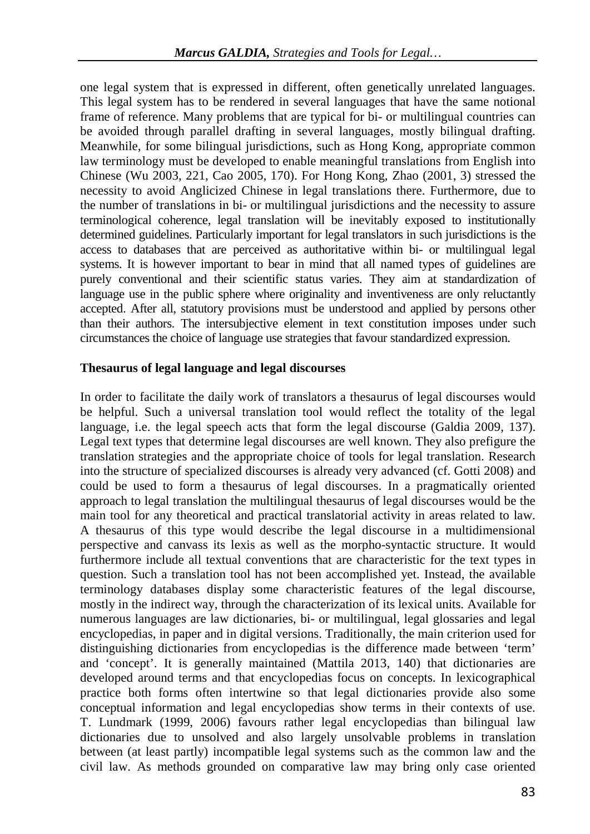one legal system that is expressed in different, often genetically unrelated languages. This legal system has to be rendered in several languages that have the same notional frame of reference. Many problems that are typical for bi- or multilingual countries can be avoided through parallel drafting in several languages, mostly bilingual drafting. Meanwhile, for some bilingual jurisdictions, such as Hong Kong, appropriate common law terminology must be developed to enable meaningful translations from English into Chinese (Wu 2003, 221, Cao 2005, 170). For Hong Kong, Zhao (2001, 3) stressed the necessity to avoid Anglicized Chinese in legal translations there. Furthermore, due to the number of translations in bi- or multilingual jurisdictions and the necessity to assure terminological coherence, legal translation will be inevitably exposed to institutionally determined guidelines. Particularly important for legal translators in such jurisdictions is the access to databases that are perceived as authoritative within bi- or multilingual legal systems. It is however important to bear in mind that all named types of guidelines are purely conventional and their scientific status varies. They aim at standardization of language use in the public sphere where originality and inventiveness are only reluctantly accepted. After all, statutory provisions must be understood and applied by persons other than their authors. The intersubjective element in text constitution imposes under such circumstances the choice of language use strategies that favour standardized expression.

## **Thesaurus of legal language and legal discourses**

In order to facilitate the daily work of translators a thesaurus of legal discourses would be helpful. Such a universal translation tool would reflect the totality of the legal language, i.e. the legal speech acts that form the legal discourse (Galdia 2009, 137). Legal text types that determine legal discourses are well known. They also prefigure the translation strategies and the appropriate choice of tools for legal translation. Research into the structure of specialized discourses is already very advanced (cf. Gotti 2008) and could be used to form a thesaurus of legal discourses. In a pragmatically oriented approach to legal translation the multilingual thesaurus of legal discourses would be the main tool for any theoretical and practical translatorial activity in areas related to law. A thesaurus of this type would describe the legal discourse in a multidimensional perspective and canvass its lexis as well as the morpho-syntactic structure. It would furthermore include all textual conventions that are characteristic for the text types in question. Such a translation tool has not been accomplished yet. Instead, the available terminology databases display some characteristic features of the legal discourse, mostly in the indirect way, through the characterization of its lexical units. Available for numerous languages are law dictionaries, bi- or multilingual, legal glossaries and legal encyclopedias, in paper and in digital versions. Traditionally, the main criterion used for distinguishing dictionaries from encyclopedias is the difference made between 'term' and 'concept'. It is generally maintained (Mattila 2013, 140) that dictionaries are developed around terms and that encyclopedias focus on concepts. In lexicographical practice both forms often intertwine so that legal dictionaries provide also some conceptual information and legal encyclopedias show terms in their contexts of use. T. Lundmark (1999, 2006) favours rather legal encyclopedias than bilingual law dictionaries due to unsolved and also largely unsolvable problems in translation between (at least partly) incompatible legal systems such as the common law and the civil law. As methods grounded on comparative law may bring only case oriented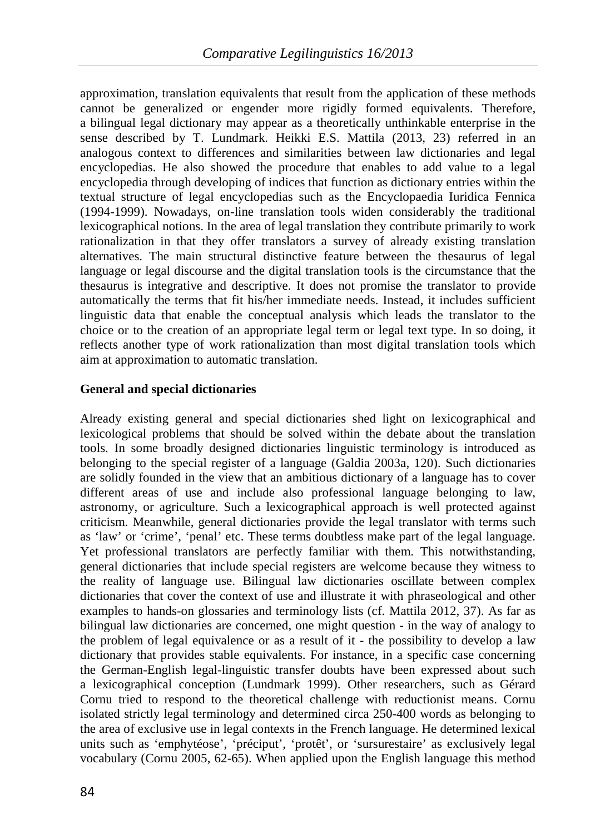approximation, translation equivalents that result from the application of these methods cannot be generalized or engender more rigidly formed equivalents. Therefore, a bilingual legal dictionary may appear as a theoretically unthinkable enterprise in the sense described by T. Lundmark. Heikki E.S. Mattila (2013, 23) referred in an analogous context to differences and similarities between law dictionaries and legal encyclopedias. He also showed the procedure that enables to add value to a legal encyclopedia through developing of indices that function as dictionary entries within the textual structure of legal encyclopedias such as the Encyclopaedia Iuridica Fennica (1994-1999). Nowadays, on-line translation tools widen considerably the traditional lexicographical notions. In the area of legal translation they contribute primarily to work rationalization in that they offer translators a survey of already existing translation alternatives. The main structural distinctive feature between the thesaurus of legal language or legal discourse and the digital translation tools is the circumstance that the thesaurus is integrative and descriptive. It does not promise the translator to provide automatically the terms that fit his/her immediate needs. Instead, it includes sufficient linguistic data that enable the conceptual analysis which leads the translator to the choice or to the creation of an appropriate legal term or legal text type. In so doing, it reflects another type of work rationalization than most digital translation tools which aim at approximation to automatic translation.

# **General and special dictionaries**

Already existing general and special dictionaries shed light on lexicographical and lexicological problems that should be solved within the debate about the translation tools. In some broadly designed dictionaries linguistic terminology is introduced as belonging to the special register of a language (Galdia 2003a, 120). Such dictionaries are solidly founded in the view that an ambitious dictionary of a language has to cover different areas of use and include also professional language belonging to law, astronomy, or agriculture. Such a lexicographical approach is well protected against criticism. Meanwhile, general dictionaries provide the legal translator with terms such as 'law' or 'crime', 'penal' etc. These terms doubtless make part of the legal language. Yet professional translators are perfectly familiar with them. This notwithstanding, general dictionaries that include special registers are welcome because they witness to the reality of language use. Bilingual law dictionaries oscillate between complex dictionaries that cover the context of use and illustrate it with phraseological and other examples to hands-on glossaries and terminology lists (cf. Mattila 2012, 37). As far as bilingual law dictionaries are concerned, one might question - in the way of analogy to the problem of legal equivalence or as a result of it - the possibility to develop a law dictionary that provides stable equivalents. For instance, in a specific case concerning the German-English legal-linguistic transfer doubts have been expressed about such a lexicographical conception (Lundmark 1999). Other researchers, such as Gérard Cornu tried to respond to the theoretical challenge with reductionist means. Cornu isolated strictly legal terminology and determined circa 250-400 words as belonging to the area of exclusive use in legal contexts in the French language. He determined lexical units such as 'emphytéose', 'préciput', 'protêt', or 'sursurestaire' as exclusively legal vocabulary (Cornu 2005, 62-65). When applied upon the English language this method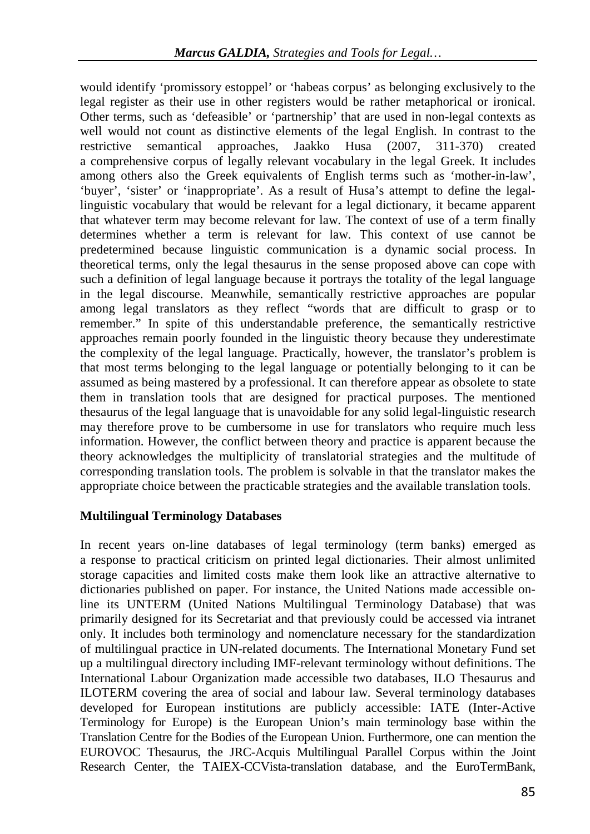would identify 'promissory estoppel' or 'habeas corpus' as belonging exclusively to the legal register as their use in other registers would be rather metaphorical or ironical. Other terms, such as 'defeasible' or 'partnership' that are used in non-legal contexts as well would not count as distinctive elements of the legal English. In contrast to the restrictive semantical approaches, Jaakko Husa (2007, 311-370) created a comprehensive corpus of legally relevant vocabulary in the legal Greek. It includes among others also the Greek equivalents of English terms such as 'mother-in-law', 'buyer', 'sister' or 'inappropriate'. As a result of Husa's attempt to define the legallinguistic vocabulary that would be relevant for a legal dictionary, it became apparent that whatever term may become relevant for law. The context of use of a term finally determines whether a term is relevant for law. This context of use cannot be predetermined because linguistic communication is a dynamic social process. In theoretical terms, only the legal thesaurus in the sense proposed above can cope with such a definition of legal language because it portrays the totality of the legal language in the legal discourse. Meanwhile, semantically restrictive approaches are popular among legal translators as they reflect "words that are difficult to grasp or to remember." In spite of this understandable preference, the semantically restrictive approaches remain poorly founded in the linguistic theory because they underestimate the complexity of the legal language. Practically, however, the translator's problem is that most terms belonging to the legal language or potentially belonging to it can be assumed as being mastered by a professional. It can therefore appear as obsolete to state them in translation tools that are designed for practical purposes. The mentioned thesaurus of the legal language that is unavoidable for any solid legal-linguistic research may therefore prove to be cumbersome in use for translators who require much less information. However, the conflict between theory and practice is apparent because the theory acknowledges the multiplicity of translatorial strategies and the multitude of corresponding translation tools. The problem is solvable in that the translator makes the appropriate choice between the practicable strategies and the available translation tools.

## **Multilingual Terminology Databases**

In recent years on-line databases of legal terminology (term banks) emerged as a response to practical criticism on printed legal dictionaries. Their almost unlimited storage capacities and limited costs make them look like an attractive alternative to dictionaries published on paper. For instance, the United Nations made accessible online its UNTERM (United Nations Multilingual Terminology Database) that was primarily designed for its Secretariat and that previously could be accessed via intranet only. It includes both terminology and nomenclature necessary for the standardization of multilingual practice in UN-related documents. The International Monetary Fund set up a multilingual directory including IMF-relevant terminology without definitions. The International Labour Organization made accessible two databases, ILO Thesaurus and ILOTERM covering the area of social and labour law. Several terminology databases developed for European institutions are publicly accessible: IATE (Inter-Active Terminology for Europe) is the European Union's main terminology base within the Translation Centre for the Bodies of the European Union. Furthermore, one can mention the EUROVOC Thesaurus, the JRC-Acquis Multilingual Parallel Corpus within the Joint Research Center, the TAIEX-CCVista-translation database, and the EuroTermBank,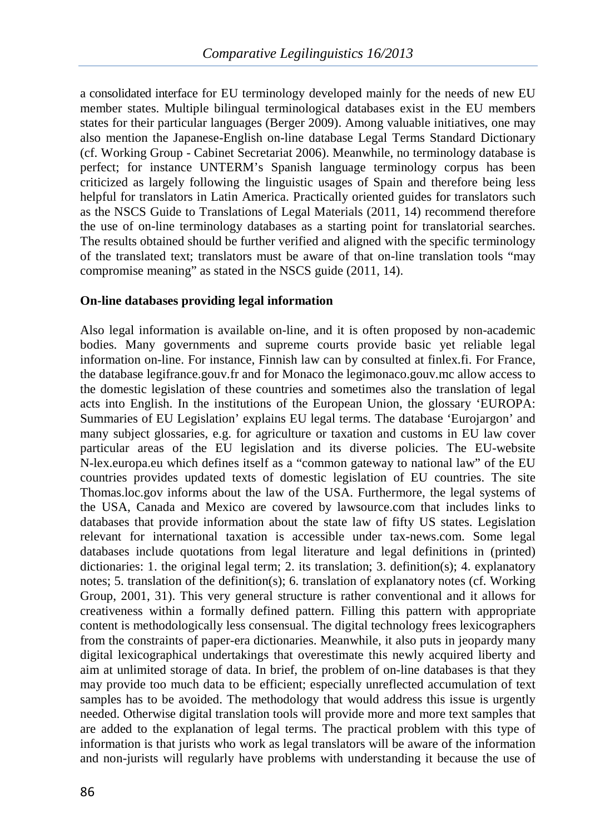a consolidated interface for EU terminology developed mainly for the needs of new EU member states. Multiple bilingual terminological databases exist in the EU members states for their particular languages (Berger 2009). Among valuable initiatives, one may also mention the Japanese-English on-line database Legal Terms Standard Dictionary (cf. Working Group - Cabinet Secretariat 2006). Meanwhile, no terminology database is perfect; for instance UNTERM's Spanish language terminology corpus has been criticized as largely following the linguistic usages of Spain and therefore being less helpful for translators in Latin America. Practically oriented guides for translators such as the NSCS Guide to Translations of Legal Materials (2011, 14) recommend therefore the use of on-line terminology databases as a starting point for translatorial searches. The results obtained should be further verified and aligned with the specific terminology of the translated text; translators must be aware of that on-line translation tools "may compromise meaning" as stated in the NSCS guide (2011, 14).

## **On-line databases providing legal information**

Also legal information is available on-line, and it is often proposed by non-academic bodies. Many governments and supreme courts provide basic yet reliable legal information on-line. For instance, Finnish law can by consulted at finlex.fi. For France, the database legifrance.gouv.fr and for Monaco the legimonaco.gouv.mc allow access to the domestic legislation of these countries and sometimes also the translation of legal acts into English. In the institutions of the European Union, the glossary 'EUROPA: Summaries of EU Legislation' explains EU legal terms. The database 'Eurojargon' and many subject glossaries, e.g. for agriculture or taxation and customs in EU law cover particular areas of the EU legislation and its diverse policies. The EU-website N-lex.europa.eu which defines itself as a "common gateway to national law" of the EU countries provides updated texts of domestic legislation of EU countries. The site Thomas.loc.gov informs about the law of the USA. Furthermore, the legal systems of the USA, Canada and Mexico are covered by lawsource.com that includes links to databases that provide information about the state law of fifty US states. Legislation relevant for international taxation is accessible under tax-news.com. Some legal databases include quotations from legal literature and legal definitions in (printed) dictionaries: 1. the original legal term; 2. its translation; 3. definition(s); 4. explanatory notes; 5. translation of the definition(s); 6. translation of explanatory notes (cf. Working Group, 2001, 31). This very general structure is rather conventional and it allows for creativeness within a formally defined pattern. Filling this pattern with appropriate content is methodologically less consensual. The digital technology frees lexicographers from the constraints of paper-era dictionaries. Meanwhile, it also puts in jeopardy many digital lexicographical undertakings that overestimate this newly acquired liberty and aim at unlimited storage of data. In brief, the problem of on-line databases is that they may provide too much data to be efficient; especially unreflected accumulation of text samples has to be avoided. The methodology that would address this issue is urgently needed. Otherwise digital translation tools will provide more and more text samples that are added to the explanation of legal terms. The practical problem with this type of information is that jurists who work as legal translators will be aware of the information and non-jurists will regularly have problems with understanding it because the use of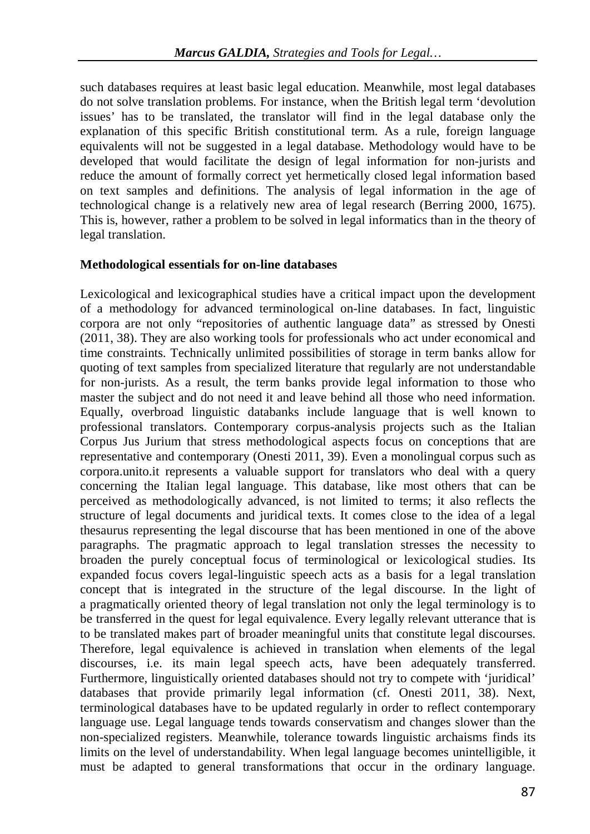such databases requires at least basic legal education. Meanwhile, most legal databases do not solve translation problems. For instance, when the British legal term 'devolution issues' has to be translated, the translator will find in the legal database only the explanation of this specific British constitutional term. As a rule, foreign language equivalents will not be suggested in a legal database. Methodology would have to be developed that would facilitate the design of legal information for non-jurists and reduce the amount of formally correct yet hermetically closed legal information based on text samples and definitions. The analysis of legal information in the age of technological change is a relatively new area of legal research (Berring 2000, 1675). This is, however, rather a problem to be solved in legal informatics than in the theory of legal translation.

## **Methodological essentials for on-line databases**

Lexicological and lexicographical studies have a critical impact upon the development of a methodology for advanced terminological on-line databases. In fact, linguistic corpora are not only "repositories of authentic language data" as stressed by Onesti (2011, 38). They are also working tools for professionals who act under economical and time constraints. Technically unlimited possibilities of storage in term banks allow for quoting of text samples from specialized literature that regularly are not understandable for non-jurists. As a result, the term banks provide legal information to those who master the subject and do not need it and leave behind all those who need information. Equally, overbroad linguistic databanks include language that is well known to professional translators. Contemporary corpus-analysis projects such as the Italian Corpus Jus Jurium that stress methodological aspects focus on conceptions that are representative and contemporary (Onesti 2011, 39). Even a monolingual corpus such as corpora.unito.it represents a valuable support for translators who deal with a query concerning the Italian legal language. This database, like most others that can be perceived as methodologically advanced, is not limited to terms; it also reflects the structure of legal documents and juridical texts. It comes close to the idea of a legal thesaurus representing the legal discourse that has been mentioned in one of the above paragraphs. The pragmatic approach to legal translation stresses the necessity to broaden the purely conceptual focus of terminological or lexicological studies. Its expanded focus covers legal-linguistic speech acts as a basis for a legal translation concept that is integrated in the structure of the legal discourse. In the light of a pragmatically oriented theory of legal translation not only the legal terminology is to be transferred in the quest for legal equivalence. Every legally relevant utterance that is to be translated makes part of broader meaningful units that constitute legal discourses. Therefore, legal equivalence is achieved in translation when elements of the legal discourses, i.e. its main legal speech acts, have been adequately transferred. Furthermore, linguistically oriented databases should not try to compete with 'juridical' databases that provide primarily legal information (cf. Onesti 2011, 38). Next, terminological databases have to be updated regularly in order to reflect contemporary language use. Legal language tends towards conservatism and changes slower than the non-specialized registers. Meanwhile, tolerance towards linguistic archaisms finds its limits on the level of understandability. When legal language becomes unintelligible, it must be adapted to general transformations that occur in the ordinary language.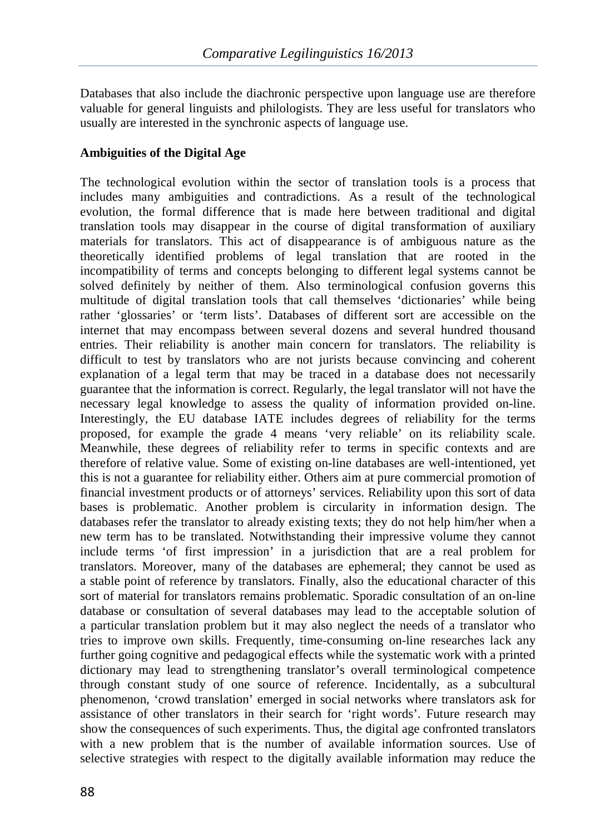Databases that also include the diachronic perspective upon language use are therefore valuable for general linguists and philologists. They are less useful for translators who usually are interested in the synchronic aspects of language use.

## **Ambiguities of the Digital Age**

The technological evolution within the sector of translation tools is a process that includes many ambiguities and contradictions. As a result of the technological evolution, the formal difference that is made here between traditional and digital translation tools may disappear in the course of digital transformation of auxiliary materials for translators. This act of disappearance is of ambiguous nature as the theoretically identified problems of legal translation that are rooted in the incompatibility of terms and concepts belonging to different legal systems cannot be solved definitely by neither of them. Also terminological confusion governs this multitude of digital translation tools that call themselves 'dictionaries' while being rather 'glossaries' or 'term lists'. Databases of different sort are accessible on the internet that may encompass between several dozens and several hundred thousand entries. Their reliability is another main concern for translators. The reliability is difficult to test by translators who are not jurists because convincing and coherent explanation of a legal term that may be traced in a database does not necessarily guarantee that the information is correct. Regularly, the legal translator will not have the necessary legal knowledge to assess the quality of information provided on-line. Interestingly, the EU database IATE includes degrees of reliability for the terms proposed, for example the grade 4 means 'very reliable' on its reliability scale. Meanwhile, these degrees of reliability refer to terms in specific contexts and are therefore of relative value. Some of existing on-line databases are well-intentioned, yet this is not a guarantee for reliability either. Others aim at pure commercial promotion of financial investment products or of attorneys' services. Reliability upon this sort of data bases is problematic. Another problem is circularity in information design. The databases refer the translator to already existing texts; they do not help him/her when a new term has to be translated. Notwithstanding their impressive volume they cannot include terms 'of first impression' in a jurisdiction that are a real problem for translators. Moreover, many of the databases are ephemeral; they cannot be used as a stable point of reference by translators. Finally, also the educational character of this sort of material for translators remains problematic. Sporadic consultation of an on-line database or consultation of several databases may lead to the acceptable solution of a particular translation problem but it may also neglect the needs of a translator who tries to improve own skills. Frequently, time-consuming on-line researches lack any further going cognitive and pedagogical effects while the systematic work with a printed dictionary may lead to strengthening translator's overall terminological competence through constant study of one source of reference. Incidentally, as a subcultural phenomenon, 'crowd translation' emerged in social networks where translators ask for assistance of other translators in their search for 'right words'. Future research may show the consequences of such experiments. Thus, the digital age confronted translators with a new problem that is the number of available information sources. Use of selective strategies with respect to the digitally available information may reduce the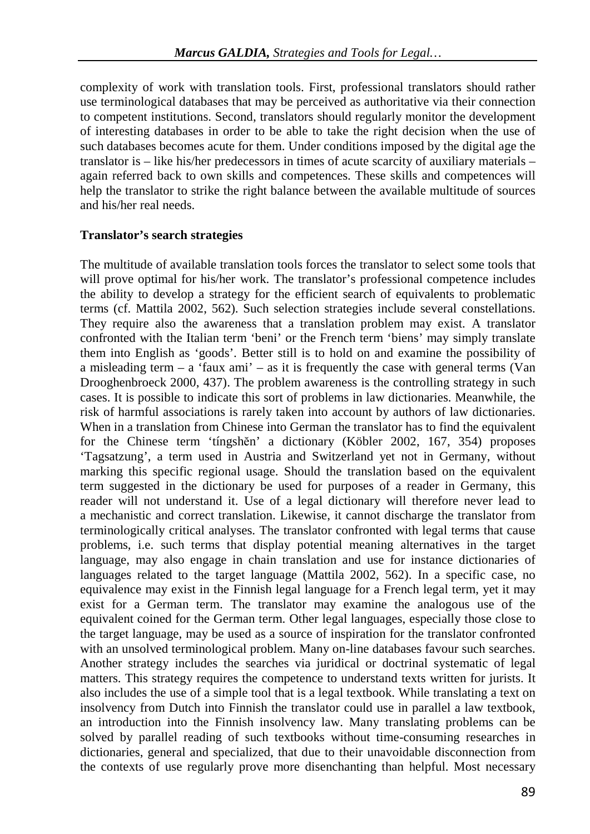complexity of work with translation tools. First, professional translators should rather use terminological databases that may be perceived as authoritative via their connection to competent institutions. Second, translators should regularly monitor the development of interesting databases in order to be able to take the right decision when the use of such databases becomes acute for them. Under conditions imposed by the digital age the translator is – like his/her predecessors in times of acute scarcity of auxiliary materials – again referred back to own skills and competences. These skills and competences will help the translator to strike the right balance between the available multitude of sources and his/her real needs.

## **Translator's search strategies**

The multitude of available translation tools forces the translator to select some tools that will prove optimal for his/her work. The translator's professional competence includes the ability to develop a strategy for the efficient search of equivalents to problematic terms (cf. Mattila 2002, 562). Such selection strategies include several constellations. They require also the awareness that a translation problem may exist. A translator confronted with the Italian term 'beni' or the French term 'biens' may simply translate them into English as 'goods'. Better still is to hold on and examine the possibility of a misleading term  $-$  a 'faux ami'  $-$  as it is frequently the case with general terms (Van Drooghenbroeck 2000, 437). The problem awareness is the controlling strategy in such cases. It is possible to indicate this sort of problems in law dictionaries. Meanwhile, the risk of harmful associations is rarely taken into account by authors of law dictionaries. When in a translation from Chinese into German the translator has to find the equivalent for the Chinese term 'tíngshĕn' a dictionary (Köbler 2002, 167, 354) proposes 'Tagsatzung', a term used in Austria and Switzerland yet not in Germany, without marking this specific regional usage. Should the translation based on the equivalent term suggested in the dictionary be used for purposes of a reader in Germany, this reader will not understand it. Use of a legal dictionary will therefore never lead to a mechanistic and correct translation. Likewise, it cannot discharge the translator from terminologically critical analyses. The translator confronted with legal terms that cause problems, i.e. such terms that display potential meaning alternatives in the target language, may also engage in chain translation and use for instance dictionaries of languages related to the target language (Mattila 2002, 562). In a specific case, no equivalence may exist in the Finnish legal language for a French legal term, yet it may exist for a German term. The translator may examine the analogous use of the equivalent coined for the German term. Other legal languages, especially those close to the target language, may be used as a source of inspiration for the translator confronted with an unsolved terminological problem. Many on-line databases favour such searches. Another strategy includes the searches via juridical or doctrinal systematic of legal matters. This strategy requires the competence to understand texts written for jurists. It also includes the use of a simple tool that is a legal textbook. While translating a text on insolvency from Dutch into Finnish the translator could use in parallel a law textbook, an introduction into the Finnish insolvency law. Many translating problems can be solved by parallel reading of such textbooks without time-consuming researches in dictionaries, general and specialized, that due to their unavoidable disconnection from the contexts of use regularly prove more disenchanting than helpful. Most necessary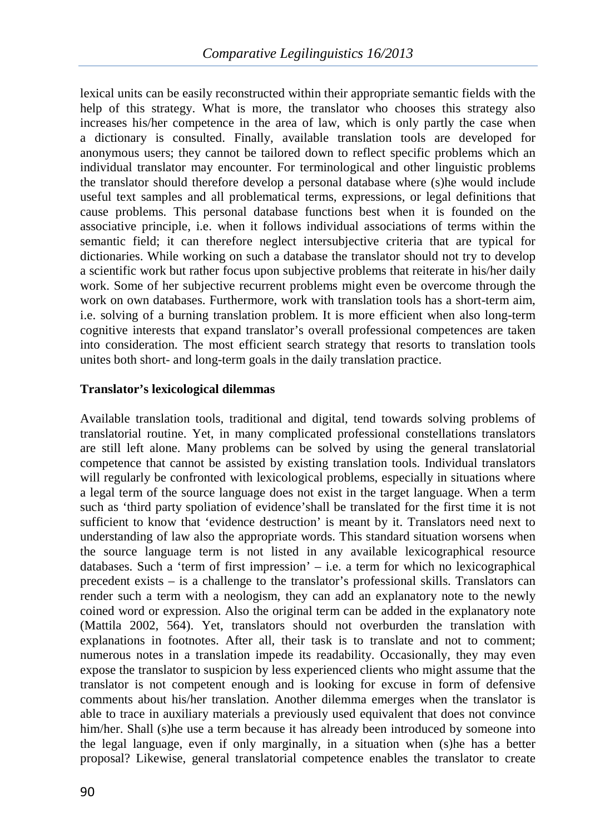lexical units can be easily reconstructed within their appropriate semantic fields with the help of this strategy. What is more, the translator who chooses this strategy also increases his/her competence in the area of law, which is only partly the case when a dictionary is consulted. Finally, available translation tools are developed for anonymous users; they cannot be tailored down to reflect specific problems which an individual translator may encounter. For terminological and other linguistic problems the translator should therefore develop a personal database where (s)he would include useful text samples and all problematical terms, expressions, or legal definitions that cause problems. This personal database functions best when it is founded on the associative principle, i.e. when it follows individual associations of terms within the semantic field; it can therefore neglect intersubjective criteria that are typical for dictionaries. While working on such a database the translator should not try to develop a scientific work but rather focus upon subjective problems that reiterate in his/her daily work. Some of her subjective recurrent problems might even be overcome through the work on own databases. Furthermore, work with translation tools has a short-term aim, i.e. solving of a burning translation problem. It is more efficient when also long-term cognitive interests that expand translator's overall professional competences are taken into consideration. The most efficient search strategy that resorts to translation tools unites both short- and long-term goals in the daily translation practice.

## **Translator's lexicological dilemmas**

Available translation tools, traditional and digital, tend towards solving problems of translatorial routine. Yet, in many complicated professional constellations translators are still left alone. Many problems can be solved by using the general translatorial competence that cannot be assisted by existing translation tools. Individual translators will regularly be confronted with lexicological problems, especially in situations where a legal term of the source language does not exist in the target language. When a term such as 'third party spoliation of evidence'shall be translated for the first time it is not sufficient to know that 'evidence destruction' is meant by it. Translators need next to understanding of law also the appropriate words. This standard situation worsens when the source language term is not listed in any available lexicographical resource databases. Such a 'term of first impression' – i.e. a term for which no lexicographical precedent exists – is a challenge to the translator's professional skills. Translators can render such a term with a neologism, they can add an explanatory note to the newly coined word or expression. Also the original term can be added in the explanatory note (Mattila 2002, 564). Yet, translators should not overburden the translation with explanations in footnotes. After all, their task is to translate and not to comment; numerous notes in a translation impede its readability. Occasionally, they may even expose the translator to suspicion by less experienced clients who might assume that the translator is not competent enough and is looking for excuse in form of defensive comments about his/her translation. Another dilemma emerges when the translator is able to trace in auxiliary materials a previously used equivalent that does not convince him/her. Shall (s)he use a term because it has already been introduced by someone into the legal language, even if only marginally, in a situation when (s)he has a better proposal? Likewise, general translatorial competence enables the translator to create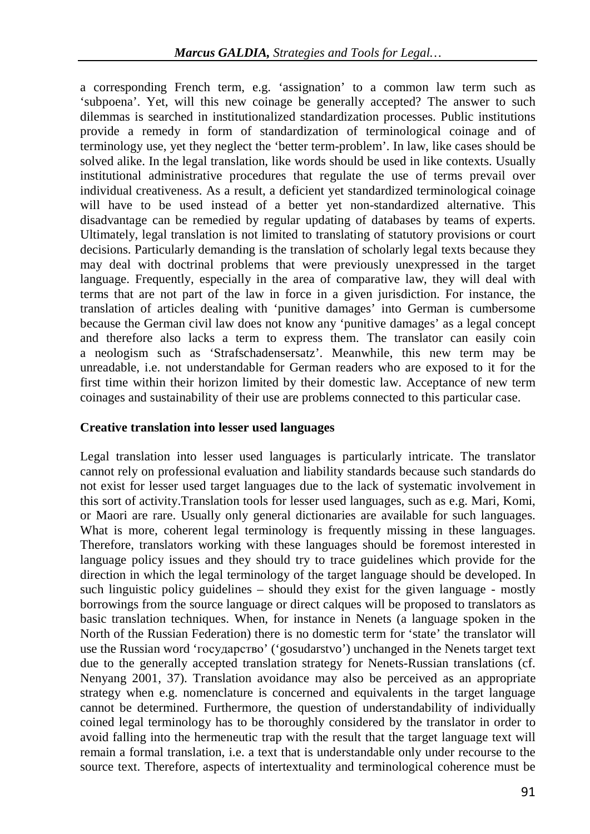a corresponding French term, e.g. 'assignation' to a common law term such as 'subpoena'. Yet, will this new coinage be generally accepted? The answer to such dilemmas is searched in institutionalized standardization processes. Public institutions provide a remedy in form of standardization of terminological coinage and of terminology use, yet they neglect the 'better term-problem'. In law, like cases should be solved alike. In the legal translation, like words should be used in like contexts. Usually institutional administrative procedures that regulate the use of terms prevail over individual creativeness. As a result, a deficient yet standardized terminological coinage will have to be used instead of a better yet non-standardized alternative. This disadvantage can be remedied by regular updating of databases by teams of experts. Ultimately, legal translation is not limited to translating of statutory provisions or court decisions. Particularly demanding is the translation of scholarly legal texts because they may deal with doctrinal problems that were previously unexpressed in the target language. Frequently, especially in the area of comparative law, they will deal with terms that are not part of the law in force in a given jurisdiction. For instance, the translation of articles dealing with 'punitive damages' into German is cumbersome because the German civil law does not know any 'punitive damages' as a legal concept and therefore also lacks a term to express them. The translator can easily coin a neologism such as 'Strafschadensersatz'. Meanwhile, this new term may be unreadable, i.e. not understandable for German readers who are exposed to it for the first time within their horizon limited by their domestic law. Acceptance of new term coinages and sustainability of their use are problems connected to this particular case.

## **Creative translation into lesser used languages**

Legal translation into lesser used languages is particularly intricate. The translator cannot rely on professional evaluation and liability standards because such standards do not exist for lesser used target languages due to the lack of systematic involvement in this sort of activity.Translation tools for lesser used languages, such as e.g. Mari, Komi, or Maori are rare. Usually only general dictionaries are available for such languages. What is more, coherent legal terminology is frequently missing in these languages. Therefore, translators working with these languages should be foremost interested in language policy issues and they should try to trace guidelines which provide for the direction in which the legal terminology of the target language should be developed. In such linguistic policy guidelines – should they exist for the given language - mostly borrowings from the source language or direct calques will be proposed to translators as basic translation techniques. When, for instance in Nenets (a language spoken in the North of the Russian Federation) there is no domestic term for 'state' the translator will use the Russian word 'государство' ('gosudarstvo') unchanged in the Nenets target text due to the generally accepted translation strategy for Nenets-Russian translations (cf. Nenyang 2001, 37). Translation avoidance may also be perceived as an appropriate strategy when e.g. nomenclature is concerned and equivalents in the target language cannot be determined. Furthermore, the question of understandability of individually coined legal terminology has to be thoroughly considered by the translator in order to avoid falling into the hermeneutic trap with the result that the target language text will remain a formal translation, i.e. a text that is understandable only under recourse to the source text. Therefore, aspects of intertextuality and terminological coherence must be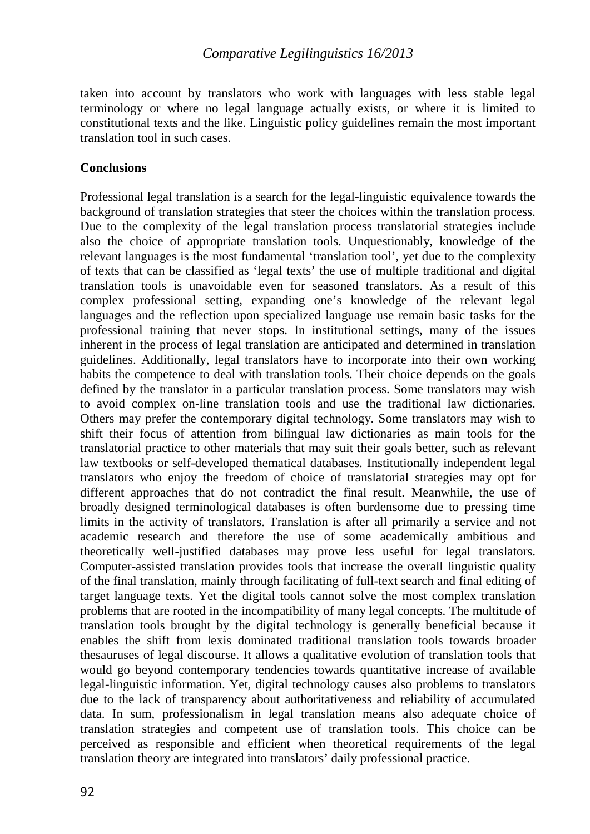taken into account by translators who work with languages with less stable legal terminology or where no legal language actually exists, or where it is limited to constitutional texts and the like. Linguistic policy guidelines remain the most important translation tool in such cases.

## **Conclusions**

Professional legal translation is a search for the legal-linguistic equivalence towards the background of translation strategies that steer the choices within the translation process. Due to the complexity of the legal translation process translatorial strategies include also the choice of appropriate translation tools. Unquestionably, knowledge of the relevant languages is the most fundamental 'translation tool', yet due to the complexity of texts that can be classified as 'legal texts' the use of multiple traditional and digital translation tools is unavoidable even for seasoned translators. As a result of this complex professional setting, expanding one's knowledge of the relevant legal languages and the reflection upon specialized language use remain basic tasks for the professional training that never stops. In institutional settings, many of the issues inherent in the process of legal translation are anticipated and determined in translation guidelines. Additionally, legal translators have to incorporate into their own working habits the competence to deal with translation tools. Their choice depends on the goals defined by the translator in a particular translation process. Some translators may wish to avoid complex on-line translation tools and use the traditional law dictionaries. Others may prefer the contemporary digital technology. Some translators may wish to shift their focus of attention from bilingual law dictionaries as main tools for the translatorial practice to other materials that may suit their goals better, such as relevant law textbooks or self-developed thematical databases. Institutionally independent legal translators who enjoy the freedom of choice of translatorial strategies may opt for different approaches that do not contradict the final result. Meanwhile, the use of broadly designed terminological databases is often burdensome due to pressing time limits in the activity of translators. Translation is after all primarily a service and not academic research and therefore the use of some academically ambitious and theoretically well-justified databases may prove less useful for legal translators. Computer-assisted translation provides tools that increase the overall linguistic quality of the final translation, mainly through facilitating of full-text search and final editing of target language texts. Yet the digital tools cannot solve the most complex translation problems that are rooted in the incompatibility of many legal concepts. The multitude of translation tools brought by the digital technology is generally beneficial because it enables the shift from lexis dominated traditional translation tools towards broader thesauruses of legal discourse. It allows a qualitative evolution of translation tools that would go beyond contemporary tendencies towards quantitative increase of available legal-linguistic information. Yet, digital technology causes also problems to translators due to the lack of transparency about authoritativeness and reliability of accumulated data. In sum, professionalism in legal translation means also adequate choice of translation strategies and competent use of translation tools. This choice can be perceived as responsible and efficient when theoretical requirements of the legal translation theory are integrated into translators' daily professional practice.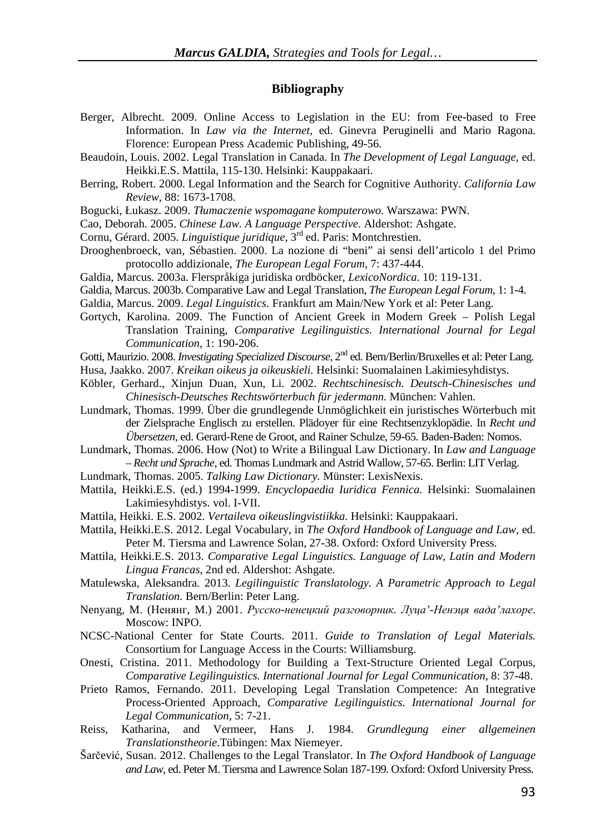#### **Bibliography**

- Berger, Albrecht. 2009. Online Access to Legislation in the EU: from Fee-based to Free Information. In *Law via the Internet*, ed. Ginevra Peruginelli and Mario Ragona. Florence: European Press Academic Publishing, 49-56.
- Beaudoin, Louis. 2002. Legal Translation in Canada. In *The Development of Legal Language,* ed. Heikki.E.S. Mattila, 115-130. Helsinki: Kauppakaari.
- Berring, Robert. 2000. Legal Information and the Search for Cognitive Authority. *California Law Review*, 88: 1673-1708.
- Bogucki, Łukasz. 2009. *Tłumaczenie wspomagane komputerowo.* Warszawa: PWN.
- Cao, Deborah. 2005. *Chinese Law. A Language Perspective*. Aldershot: Ashgate.
- Cornu, Gérard. 2005. *Linguistique juridique*, 3rd ed. Paris: Montchrestien.
- Drooghenbroeck, van, Sébastien. 2000. La nozione di "beni" ai sensi dell'articolo 1 del Primo protocollo addizionale, *The European Legal Forum*, 7: 437-444.
- Galdia, Marcus. 2003a. Flerspråkiga juridiska ordböcker, *LexicoNordica.* 10: 119-131.
- Galdia, Marcus. 2003b. Comparative Law and Legal Translation, *The European Legal Forum*, 1: 1-4.
- Galdia, Marcus. 2009. *Legal Linguistics*. Frankfurt am Main/New York et al: Peter Lang.
- Gortych, Karolina. 2009. The Function of Ancient Greek in Modern Greek Polish Legal Translation Training, *Comparative Legilinguistics. International Journal for Legal Communication*, 1: 190-206.
- Gotti, Maurizio. 2008. *Investigating Specialized Discourse*, 2nd ed. Bern/Berlin/Bruxelles et al: Peter Lang.
- Husa, Jaakko. 2007. *Kreikan oikeus ja oikeuskieli.* Helsinki: Suomalainen Lakimiesyhdistys.
- Köbler, Gerhard., Xinjun Duan, Xun, Li. 2002. *Rechtschinesisch. Deutsch-Chinesisches und Chinesisch-Deutsches Rechtswörterbuch für jedermann.* München: Vahlen.
- Lundmark, Thomas. 1999. Über die grundlegende Unmöglichkeit ein juristisches Wörterbuch mit der Zielsprache Englisch zu erstellen. Plädoyer für eine Rechtsenzyklopädie. In *Recht und Übersetzen,* ed. Gerard-Rene de Groot, and Rainer Schulze, 59-65. Baden-Baden: Nomos.
- Lundmark, Thomas. 2006. How (Not) to Write a Bilingual Law Dictionary. In *Law and Language – Recht und Sprache*, ed. Thomas Lundmark and Astrid Wallow, 57-65. Berlin: LIT Verlag.
- Lundmark, Thomas. 2005. *Talking Law Dictionary.* Münster: LexisNexis.
- Mattila, Heikki.E.S. (ed.) 1994-1999. *Encyclopaedia Iuridica Fennica.* Helsinki: Suomalainen Lakimiesyhdistys. vol. I-VII.
- Mattila, Heikki. E.S. 2002. *Vertaileva oikeuslingvistiikka.* Helsinki: Kauppakaari.
- Mattila, Heikki.E.S. 2012. Legal Vocabulary, in *The Oxford Handbook of Language and Law,* ed. Peter M. Tiersma and Lawrence Solan, 27-38. Oxford: Oxford University Press.
- Mattila, Heikki.E.S. 2013. *Comparative Legal Linguistics. Language of Law, Latin and Modern Lingua Francas*, 2nd ed. Aldershot: Ashgate.
- Matulewska, Aleksandra. 2013. *Legilinguistic Translatology. A Parametric Approach to Legal Translation.* Bern/Berlin: Peter Lang.
- Nenyang, M. (Ненянг, M.) 2001. *Русско-ненецкий разговорник. Луца'-Ненэця вада'лахоре*. Moscow: INPO.
- NCSC-National Center for State Courts. 2011. *Guide to Translation of Legal Materials.*  Consortium for Language Access in the Courts: Williamsburg.
- Onesti, Cristina. 2011. Methodology for Building a Text-Structure Oriented Legal Corpus, *Comparative Legilinguistics. International Journal for Legal Communication*, 8: 37-48.
- Prieto Ramos, Fernando. 2011. Developing Legal Translation Competence: An Integrative Process-Oriented Approach, *Comparative Legilinguistics. International Journal for Legal Communication*, 5: 7-21.
- Reiss, Katharina, and Vermeer, Hans J. 1984. *Grundlegung einer allgemeinen Translationstheorie*.Tübingen: Max Niemeyer.
- Šarčević, Susan. 2012. Challenges to the Legal Translator. In *The Oxford Handbook of Language and Law*, ed. Peter M. Tiersma and Lawrence Solan 187-199. Oxford: Oxford University Press.